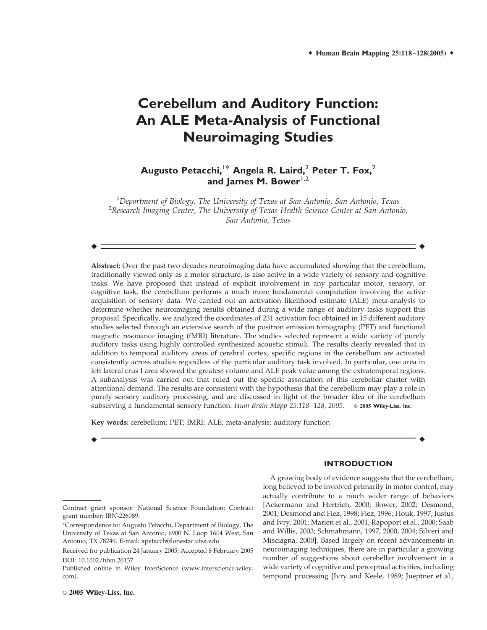# **Cerebellum and Auditory Function: An ALE Meta-Analysis of Functional Neuroimaging Studies**

# **Augusto Petacchi,**1\* **Angela R. Laird,**<sup>2</sup> **Peter T. Fox,**<sup>2</sup> and **James** M. Bower<sup>1,2</sup>

1 *Department of Biology, The University of Texas at San Antonio, San Antonio, Texas* <sup>2</sup> *Research Imaging Center, The University of Texas Health Science Center at San Antonio, San Antonio, Texas*

 $\bullet$  . In the contract of the contract of the contract of the contract of the contract of the contract of the contract of the contract of the contract of the contract of the contract of the contract of the contract of the

**Abstract:** Over the past two decades neuroimaging data have accumulated showing that the cerebellum, traditionally viewed only as a motor structure, is also active in a wide variety of sensory and cognitive tasks. We have proposed that instead of explicit involvement in any particular motor, sensory, or cognitive task, the cerebellum performs a much more fundamental computation involving the active acquisition of sensory data. We carried out an activation likelihood estimate (ALE) meta-analysis to determine whether neuroimaging results obtained during a wide range of auditory tasks support this proposal. Specifically, we analyzed the coordinates of 231 activation foci obtained in 15 different auditory studies selected through an extensive search of the positron emission tomography (PET) and functional magnetic resonance imaging (fMRI) literature. The studies selected represent a wide variety of purely auditory tasks using highly controlled synthesized acoustic stimuli. The results clearly revealed that in addition to temporal auditory areas of cerebral cortex, specific regions in the cerebellum are activated consistently across studies regardless of the particular auditory task involved. In particular, one area in left lateral crus I area showed the greatest volume and ALE peak value among the extratemporal regions. A subanalysis was carried out that ruled out the specific association of this cerebellar cluster with attentional demand. The results are consistent with the hypothesis that the cerebellum may play a role in purely sensory auditory processing, and are discussed in light of the broader idea of the cerebellum subserving a fundamental sensory function. *Hum Brain Mapp 25:118–128, 2005.* © **2005 Wiley-Liss, Inc.**

 $\blacklozenge$  . In the contract of the contract of the contract of the contract of the contract of the contract of the contract of the contract of the contract of the contract of the contract of the contract of the contract of

**Key words:** cerebellum; PET; fMRI; ALE; meta-analysis; auditory function

# **INTRODUCTION**

A growing body of evidence suggests that the cerebellum, long believed to be involved primarily in motor control, may actually contribute to a much wider range of behaviors [Ackermann and Hertrich, 2000; Bower, 2002; Desmond, 2001; Desmond and Fiez, 1998; Fiez, 1996; Houk, 1997; Justus and Ivry, 2001; Marien et al., 2001; Rapoport et al., 2000; Saab and Willis, 2003; Schmahmann, 1997, 2000, 2004; Silveri and Misciagna, 2000]. Based largely on recent advancements in neuroimaging techniques, there are in particular a growing number of suggestions about cerebellar involvement in a wide variety of cognitive and perceptual activities, including temporal processing [Ivry and Keele, 1989; Jueptner et al.,

Contract grant sponsor: National Science Foundation; Contract grant number: IBN-226089.

<sup>\*</sup>Correspondence to: Augusto Petacchi, Department of Biology, The University of Texas at San Antonio, 6900 N. Loop 1604 West, San Antonio, TX 78249. E-mail: apetacch@lonestar.utsa.edu

Received for publication 24 January 2005; Accepted 8 February 2005 DOI: 10.1002/hbm.20137

Published online in Wiley InterScience (www.interscience.wiley. com).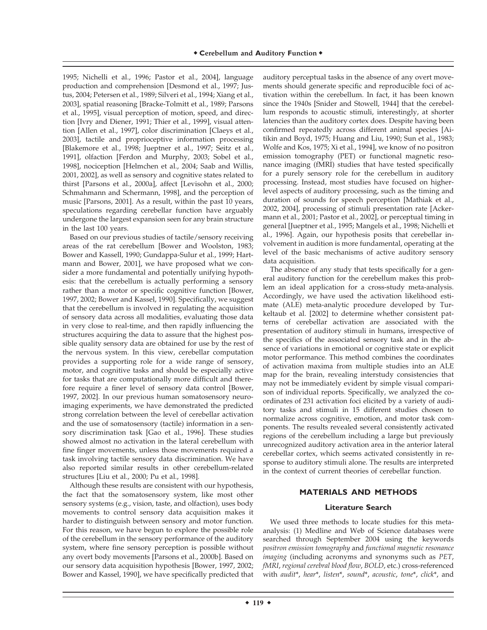1995; Nichelli et al., 1996; Pastor et al., 2004], language production and comprehension [Desmond et al., 1997; Justus, 2004; Petersen et al., 1989; Silveri et al., 1994; Xiang et al., 2003], spatial reasoning [Bracke-Tolmitt et al., 1989; Parsons et al., 1995], visual perception of motion, speed, and direction [Ivry and Diener, 1991; Thier et al., 1999], visual attention [Allen et al., 1997], color discrimination [Claeys et al., 2003], tactile and proprioceptive information processing [Blakemore et al., 1998; Jueptner et al., 1997; Seitz et al., 1991], olfaction [Ferdon and Murphy, 2003; Sobel et al., 1998], nociception [Helmchen et al., 2004; Saab and Willis, 2001, 2002], as well as sensory and cognitive states related to thirst [Parsons et al., 2000a], affect [Levisohn et al., 2000; Schmahmann and Schermann, 1998], and the perception of music [Parsons, 2001]. As a result, within the past 10 years, speculations regarding cerebellar function have arguably undergone the largest expansion seen for any brain structure in the last 100 years.

Based on our previous studies of tactile/sensory receiving areas of the rat cerebellum [Bower and Woolston, 1983; Bower and Kassell, 1990; Gundappa-Sulur et al., 1999; Hartmann and Bower, 2001], we have proposed what we consider a more fundamental and potentially unifying hypothesis: that the cerebellum is actually performing a sensory rather than a motor or specific cognitive function [Bower, 1997, 2002; Bower and Kassel, 1990]. Specifically, we suggest that the cerebellum is involved in regulating the acquisition of sensory data across all modalities, evaluating those data in very close to real-time, and then rapidly influencing the structures acquiring the data to assure that the highest possible quality sensory data are obtained for use by the rest of the nervous system. In this view, cerebellar computation provides a supporting role for a wide range of sensory, motor, and cognitive tasks and should be especially active for tasks that are computationally more difficult and therefore require a finer level of sensory data control [Bower, 1997, 2002]. In our previous human somatosensory neuroimaging experiments, we have demonstrated the predicted strong correlation between the level of cerebellar activation and the use of somatosensory (tactile) information in a sensory discrimination task [Gao et al., 1996]. These studies showed almost no activation in the lateral cerebellum with fine finger movements, unless those movements required a task involving tactile sensory data discrimination. We have also reported similar results in other cerebellum-related structures [Liu et al., 2000; Pu et al., 1998].

Although these results are consistent with our hypothesis, the fact that the somatosensory system, like most other sensory systems (e.g., vision, taste, and olfaction), uses body movements to control sensory data acquisition makes it harder to distinguish between sensory and motor function. For this reason, we have begun to explore the possible role of the cerebellum in the sensory performance of the auditory system, where fine sensory perception is possible without any overt body movements [Parsons et al., 2000b]. Based on our sensory data acquisition hypothesis [Bower, 1997, 2002; Bower and Kassel, 1990], we have specifically predicted that auditory perceptual tasks in the absence of any overt movements should generate specific and reproducible foci of activation within the cerebellum. In fact, it has been known since the 1940s [Snider and Stowell, 1944] that the cerebellum responds to acoustic stimuli, interestingly, at shorter latencies than the auditory cortex does. Despite having been confirmed repeatedly across different animal species [Aitikin and Boyd, 1975; Huang and Liu, 1990; Sun et al., 1983; Wolfe and Kos, 1975; Xi et al., 1994], we know of no positron emission tomography (PET) or functional magnetic resonance imaging (fMRI) studies that have tested specifically for a purely sensory role for the cerebellum in auditory processing. Instead, most studies have focused on higherlevel aspects of auditory processing, such as the timing and duration of sounds for speech perception [Mathiak et al., 2002, 2004], processing of stimuli presentation rate [Ackermann et al., 2001; Pastor et al., 2002], or perceptual timing in general [Jueptner et al., 1995; Mangels et al., 1998; Nichelli et al., 1996]. Again, our hypothesis posits that cerebellar involvement in audition is more fundamental, operating at the level of the basic mechanisms of active auditory sensory data acquisition.

The absence of any study that tests specifically for a general auditory function for the cerebellum makes this problem an ideal application for a cross-study meta-analysis. Accordingly, we have used the activation likelihood estimate (ALE) meta-analytic procedure developed by Turkeltaub et al. [2002] to determine whether consistent patterns of cerebellar activation are associated with the presentation of auditory stimuli in humans, irrespective of the specifics of the associated sensory task and in the absence of variations in emotional or cognitive state or explicit motor performance. This method combines the coordinates of activation maxima from multiple studies into an ALE map for the brain, revealing interstudy consistencies that may not be immediately evident by simple visual comparison of individual reports. Specifically, we analyzed the coordinates of 231 activation foci elicited by a variety of auditory tasks and stimuli in 15 different studies chosen to normalize across cognitive, emotion, and motor task components. The results revealed several consistently activated regions of the cerebellum including a large but previously unrecognized auditory activation area in the anterior lateral cerebellar cortex, which seems activated consistently in response to auditory stimuli alone. The results are interpreted in the context of current theories of cerebellar function.

# **MATERIALS AND METHODS**

# **Literature Search**

We used three methods to locate studies for this metaanalysis: (1) Medline and Web of Science databases were searched through September 2004 using the keywords *positron emission tomography* and *functional magnetic resonance imaging* (including acronyms and synonyms such as *PET*, *fMRI*, *regional cerebral blood flow*, *BOLD*, etc.) cross-referenced with *audit*\*, *hear*\*, *listen*\*, *sound*\*, *acoustic*, *tone*\*, *click*\*, and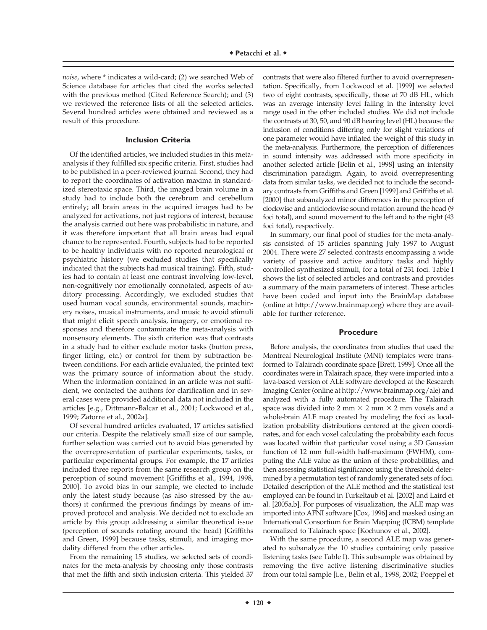*noise*, where \* indicates a wild-card; (2) we searched Web of Science database for articles that cited the works selected with the previous method (Cited Reference Search); and (3) we reviewed the reference lists of all the selected articles. Several hundred articles were obtained and reviewed as a result of this procedure.

#### **Inclusion Criteria**

Of the identified articles, we included studies in this metaanalysis if they fulfilled six specific criteria. First, studies had to be published in a peer-reviewed journal. Second, they had to report the coordinates of activation maxima in standardized stereotaxic space. Third, the imaged brain volume in a study had to include both the cerebrum and cerebellum entirely; all brain areas in the acquired images had to be analyzed for activations, not just regions of interest, because the analysis carried out here was probabilistic in nature, and it was therefore important that all brain areas had equal chance to be represented. Fourth, subjects had to be reported to be healthy individuals with no reported neurological or psychiatric history (we excluded studies that specifically indicated that the subjects had musical training). Fifth, studies had to contain at least one contrast involving low-level, non-cognitively nor emotionally connotated, aspects of auditory processing. Accordingly, we excluded studies that used human vocal sounds, environmental sounds, machinery noises, musical instruments, and music to avoid stimuli that might elicit speech analysis, imagery, or emotional responses and therefore contaminate the meta-analysis with nonsensory elements. The sixth criterion was that contrasts in a study had to either exclude motor tasks (button press, finger lifting, etc.) or control for them by subtraction between conditions. For each article evaluated, the printed text was the primary source of information about the study. When the information contained in an article was not sufficient, we contacted the authors for clarification and in several cases were provided additional data not included in the articles [e.g., Dittmann-Balcar et al., 2001; Lockwood et al., 1999; Zatorre et al., 2002a].

Of several hundred articles evaluated, 17 articles satisfied our criteria. Despite the relatively small size of our sample, further selection was carried out to avoid bias generated by the overrepresentation of particular experiments, tasks, or particular experimental groups. For example, the 17 articles included three reports from the same research group on the perception of sound movement [Griffiths et al., 1994, 1998, 2000]. To avoid bias in our sample, we elected to include only the latest study because (as also stressed by the authors) it confirmed the previous findings by means of improved protocol and analysis. We decided not to exclude an article by this group addressing a similar theoretical issue (perception of sounds rotating around the head) [Griffiths and Green, 1999] because tasks, stimuli, and imaging modality differed from the other articles.

From the remaining 15 studies, we selected sets of coordinates for the meta-analysis by choosing only those contrasts that met the fifth and sixth inclusion criteria. This yielded 37 contrasts that were also filtered further to avoid overrepresentation. Specifically, from Lockwood et al. [1999] we selected two of eight contrasts, specifically, those at 70 dB HL, which was an average intensity level falling in the intensity level range used in the other included studies. We did not include the contrasts at 30, 50, and 90 dB hearing level (HL) because the inclusion of conditions differing only for slight variations of one parameter would have inflated the weight of this study in the meta-analysis. Furthermore, the perception of differences in sound intensity was addressed with more specificity in another selected article [Belin et al., 1998] using an intensity discrimination paradigm. Again, to avoid overrepresenting data from similar tasks, we decided not to include the secondary contrasts from Griffiths and Green [1999] and Griffiths et al. [2000] that subanalyzed minor differences in the perception of clockwise and anticlockwise sound rotation around the head (9 foci total), and sound movement to the left and to the right (43 foci total), respectively.

In summary, our final pool of studies for the meta-analysis consisted of 15 articles spanning July 1997 to August 2004. There were 27 selected contrasts encompassing a wide variety of passive and active auditory tasks and highly controlled synthesized stimuli, for a total of 231 foci. Table I shows the list of selected articles and contrasts and provides a summary of the main parameters of interest. These articles have been coded and input into the BrainMap database (online at http://www.brainmap.org) where they are available for further reference.

#### **Procedure**

Before analysis, the coordinates from studies that used the Montreal Neurological Institute (MNI) templates were transformed to Talairach coordinate space [Brett, 1999]. Once all the coordinates were in Talairach space, they were imported into a Java-based version of ALE software developed at the Research Imaging Center(online at http://www.brainmap.org/ale) and analyzed with a fully automated procedure. The Talairach space was divided into 2 mm  $\times$  2 mm  $\times$  2 mm voxels and a whole-brain ALE map created by modeling the foci as localization probability distributions centered at the given coordinates, and for each voxel calculating the probability each focus was located within that particular voxel using a 3D Gaussian function of 12 mm full-width half-maximum (FWHM), computing the ALE value as the union of these probabilities, and then assessing statistical significance using the threshold determined by a permutation test of randomly generated sets of foci. Detailed description of the ALE method and the statistical test employed can be found in Turkeltaub et al. [2002] and Laird et al. [2005a,b]. For purposes of visualization, the ALE map was imported into AFNI software [Cox, 1996] and masked using an International Consortium for Brain Mapping (ICBM) template normalized to Talairach space [Kochunov et al., 2002].

With the same procedure, a second ALE map was generated to subanalyze the 10 studies containing only passive listening tasks (see Table I). This subsample was obtained by removing the five active listening discriminative studies from our total sample [i.e., Belin et al., 1998, 2002; Poeppel et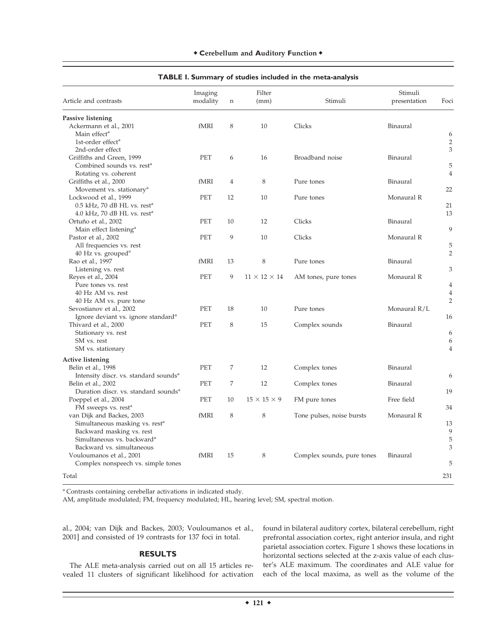| Article and contrasts                             | Imaging<br>modality | n              | Filter<br>(mm)           | Stimuli                    | Stimuli<br>presentation | Foci           |  |
|---------------------------------------------------|---------------------|----------------|--------------------------|----------------------------|-------------------------|----------------|--|
| Passive listening                                 |                     |                |                          |                            |                         |                |  |
| Ackermann et al., 2001                            | fMRI                | 8              | 10                       | Clicks                     | Binaural                |                |  |
| Main effect <sup>a</sup>                          |                     |                |                          |                            |                         | 6              |  |
| 1st-order effect <sup>a</sup>                     |                     |                |                          |                            |                         | $\overline{2}$ |  |
| 2nd-order effect                                  |                     |                |                          |                            |                         | $\mathfrak{Z}$ |  |
| Griffiths and Green, 1999                         | <b>PET</b>          | 6              | 16                       | Broadband noise            | Binaural                |                |  |
| Combined sounds vs. rest <sup>a</sup>             |                     |                |                          |                            |                         | 5              |  |
| Rotating vs. coherent                             |                     |                |                          |                            |                         | $\overline{4}$ |  |
| Griffiths et al., 2000                            | fMRI                | $\overline{4}$ | 8                        | Pure tones                 | Binaural                |                |  |
| Movement vs. stationary <sup>a</sup>              |                     |                |                          |                            |                         | 22             |  |
| Lockwood et al., 1999                             | PET                 | 12             | 10                       | Pure tones                 | Monaural R              |                |  |
| $0.5$ kHz, 70 dB HL vs. rest <sup>a</sup>         |                     |                |                          |                            |                         | 21             |  |
| 4.0 kHz, 70 dB HL vs. rest <sup>a</sup>           |                     |                |                          |                            |                         | 13             |  |
| Ortuño et al., 2002                               | PET                 | 10             | 12                       | Clicks                     | Binaural                |                |  |
| Main effect listening <sup>a</sup>                |                     |                |                          |                            |                         | 9              |  |
| Pastor et al., 2002                               | <b>PET</b>          | 9              | 10                       | Clicks                     | Monaural R              |                |  |
| All frequencies vs. rest                          |                     |                |                          |                            |                         | 5              |  |
| 40 Hz vs. grouped <sup>a</sup>                    |                     |                |                          |                            |                         | $\overline{2}$ |  |
| Rao et al., 1997                                  | fMRI                | 13             | 8                        | Pure tones                 | Binaural                |                |  |
| Listening vs. rest                                |                     |                |                          |                            |                         | 3              |  |
| Reyes et al., 2004                                | <b>PET</b>          | 9              | $11 \times 12 \times 14$ | AM tones, pure tones       | Monaural R              |                |  |
| Pure tones vs. rest                               |                     |                |                          |                            |                         | $\overline{4}$ |  |
| 40 Hz AM vs. rest                                 |                     |                |                          |                            |                         | $\overline{4}$ |  |
| 40 Hz AM vs. pure tone                            |                     |                |                          |                            |                         | $\overline{2}$ |  |
| Sevostianov et al., 2002                          | PET                 | 18             | 10                       | Pure tones                 | Monaural $R/L$          |                |  |
| Ignore deviant vs. ignore standard <sup>a</sup>   |                     |                |                          |                            |                         | 16             |  |
| Thivard et al., 2000                              | PET                 | 8              | 15                       | Complex sounds             | Binaural                |                |  |
| Stationary vs. rest                               |                     |                |                          |                            |                         | 6              |  |
| SM vs. rest                                       |                     |                |                          |                            |                         | 6              |  |
| SM vs. stationary                                 |                     |                |                          |                            |                         | $\overline{4}$ |  |
| <b>Active listening</b>                           |                     |                |                          |                            |                         |                |  |
| Belin et al., 1998                                | <b>PET</b>          | 7              | 12                       | Complex tones              | Binaural                |                |  |
| Intensity discr. vs. standard sounds <sup>a</sup> |                     |                |                          |                            |                         | 6              |  |
| Belin et al., 2002                                | PET                 | 7              | 12                       | Complex tones              | Binaural                |                |  |
| Duration discr. vs. standard sounds <sup>a</sup>  |                     |                |                          |                            |                         | 19             |  |
| Poeppel et al., 2004                              | PET                 | 10             | $15 \times 15 \times 9$  | FM pure tones              | Free field              |                |  |
| FM sweeps vs. rest <sup>a</sup>                   |                     |                |                          |                            |                         | 34             |  |
| van Dijk and Backes, 2003                         | fMRI                | 8              | 8                        | Tone pulses, noise bursts  | Monaural R              |                |  |
| Simultaneous masking vs. rest <sup>a</sup>        |                     |                |                          |                            |                         | 13             |  |
| Backward masking vs. rest                         |                     |                |                          |                            |                         | 9              |  |
| Simultaneous vs. backward <sup>a</sup>            |                     |                |                          |                            |                         | 5              |  |
| Backward vs. simultaneous                         |                     |                |                          |                            |                         | 3              |  |
| Vouloumanos et al., 2001                          | fMRI                | 15             | 8                        | Complex sounds, pure tones | Binaural                |                |  |
| Complex nonspeech vs. simple tones                |                     |                |                          |                            |                         | 5              |  |
| Total                                             |                     |                |                          |                            |                         | 231            |  |
|                                                   |                     |                |                          |                            |                         |                |  |

# ! **Cerebellum and Auditory Function** !

# **TABLE I. Summary of studies included in the meta-analysis**

<sup>a</sup> Contrasts containing cerebellar activations in indicated study.

AM, amplitude modulated; FM, frequency modulated; HL, hearing level; SM, spectral motion.

al., 2004; van Dijk and Backes, 2003; Vouloumanos et al., 2001] and consisted of 19 contrasts for 137 foci in total.

# **RESULTS**

The ALE meta-analysis carried out on all 15 articles revealed 11 clusters of significant likelihood for activation found in bilateral auditory cortex, bilateral cerebellum, right prefrontal association cortex, right anterior insula, and right parietal association cortex. Figure 1 shows these locations in horizontal sections selected at the z-axis value of each cluster's ALE maximum. The coordinates and ALE value for each of the local maxima, as well as the volume of the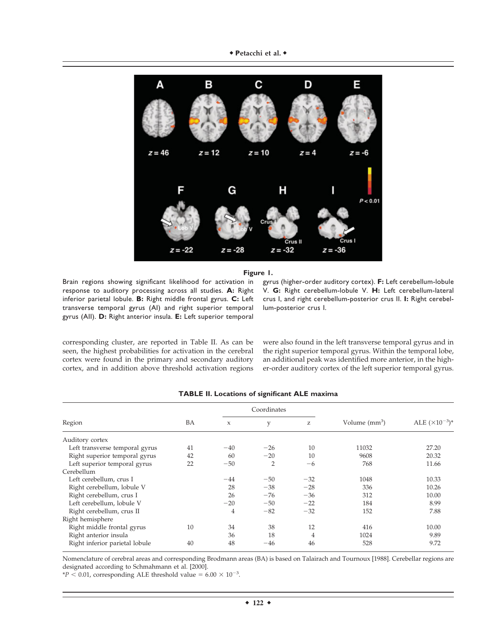

#### **Figure 1.**

Brain regions showing significant likelihood for activation in response to auditory processing across all studies. **A:** Right inferior parietal lobule. **B:** Right middle frontal gyrus. **C:** Left transverse temporal gyrus (AI) and right superior temporal gyrus (AII). **D:** Right anterior insula. **E:** Left superior temporal

corresponding cluster, are reported in Table II. As can be seen, the highest probabilities for activation in the cerebral cortex were found in the primary and secondary auditory cortex, and in addition above threshold activation regions gyrus (higher-order auditory cortex). **F:** Left cerebellum-lobule V. **G:** Right cerebellum-lobule V. **H:** Left cerebellum-lateral crus I, and right cerebellum-posterior crus II. **I:** Right cerebellum-posterior crus I.

were also found in the left transverse temporal gyrus and in the right superior temporal gyrus. Within the temporal lobe, an additional peak was identified more anterior, in the higher-order auditory cortex of the left superior temporal gyrus.

|                                | BA |             | Coordinates |       | Volume $(mm^3)$ | ALE $(\times 10^{-3})^*$ |
|--------------------------------|----|-------------|-------------|-------|-----------------|--------------------------|
| Region                         |    | $\mathsf X$ | V           | z     |                 |                          |
| Auditory cortex                |    |             |             |       |                 |                          |
| Left transverse temporal gyrus | 41 | $-40$       | $-26$       | 10    | 11032           | 27.20                    |
| Right superior temporal gyrus  | 42 | 60          | $-20$       | 10    | 9608            | 20.32                    |
| Left superior temporal gyrus   | 22 | $-50$       | 2           | $-6$  | 768             | 11.66                    |
| Cerebellum                     |    |             |             |       |                 |                          |
| Left cerebellum, crus I        |    | $-44$       | $-50$       | $-32$ | 1048            | 10.33                    |
| Right cerebellum, lobule V     |    | 28          | $-38$       | $-28$ | 336             | 10.26                    |
| Right cerebellum, crus I       |    | 26          | $-76$       | $-36$ | 312             | 10.00                    |
| Left cerebellum, lobule V      |    | $-20$       | $-50$       | $-22$ | 184             | 8.99                     |
| Right cerebellum, crus II      |    | 4           | $-82$       | $-32$ | 152             | 7.88                     |
| Right hemisphere               |    |             |             |       |                 |                          |
| Right middle frontal gyrus     | 10 | 34          | 38          | 12    | 416             | 10.00                    |
| Right anterior insula          |    | 36          | 18          | 4     | 1024            | 9.89                     |
| Right inferior parietal lobule | 40 | 48          | $-46$       | 46    | 528             | 9.72                     |

### **TABLE II. Locations of significant ALE maxima**

Nomenclature of cerebral areas and corresponding Brodmann areas (BA) is based on Talairach and Tournoux [1988]. Cerebellar regions are designated according to Schmahmann et al. [2000].

 $*P < 0.01$ , corresponding ALE threshold value =  $6.00 \times 10^{-3}$ .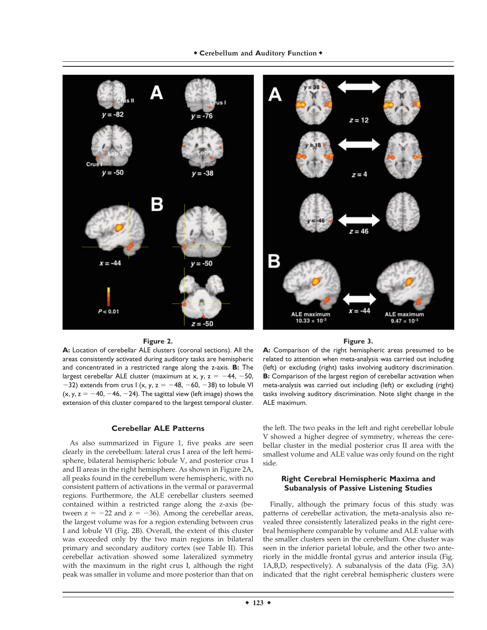

#### **Figure 2.**

**A:** Location of cerebellar ALE clusters (coronal sections). All the areas consistently activated during auditory tasks are hemispheric and concentrated in a restricted range along the z-axis. **B:** The largest cerebellar ALE cluster (maximum at x, y,  $z = -44, -50,$  $-32$ ) extends from crus I (x, y, z =  $-48$ ,  $-60$ ,  $-38$ ) to lobule VI  $(x, y, z = -40, -46, -24)$ . The sagittal view (left image) shows the extension of this cluster compared to the largest temporal cluster.

# **Cerebellar ALE Patterns**

As also summarized in Figure 1, five peaks are seen clearly in the cerebellum: lateral crus I area of the left hemisphere, bilateral hemispheric lobule V, and posterior crus I and II areas in the right hemisphere. As shown in Figure 2A, all peaks found in the cerebellum were hemispheric, with no consistent pattern of activations in the vermal or paravermal regions. Furthermore, the ALE cerebellar clusters seemed contained within a restricted range along the z-axis (between  $z = -22$  and  $z = -36$ ). Among the cerebellar areas, the largest volume was for a region extending between crus I and lobule VI (Fig. 2B). Overall, the extent of this cluster was exceeded only by the two main regions in bilateral primary and secondary auditory cortex (see Table II). This cerebellar activation showed some lateralized symmetry with the maximum in the right crus I, although the right peak was smaller in volume and more posterior than that on

#### **Figure 3.**

**A:** Comparison of the right hemispheric areas presumed to be related to attention when meta-analysis was carried out including (left) or excluding (right) tasks involving auditory discrimination. **B:** Comparison of the largest region of cerebellar activation when meta-analysis was carried out including (left) or excluding (right) tasks involving auditory discrimination. Note slight change in the ALE maximum.

the left. The two peaks in the left and right cerebellar lobule V showed a higher degree of symmetry, whereas the cerebellar cluster in the medial posterior crus II area with the smallest volume and ALE value was only found on the right side.

# **Right Cerebral Hemispheric Maxima and Subanalysis of Passive Listening Studies**

Finally, although the primary focus of this study was patterns of cerebellar activation, the meta-analysis also revealed three consistently lateralized peaks in the right cerebral hemisphere comparable by volume and ALE value with the smaller clusters seen in the cerebellum. One cluster was seen in the inferior parietal lobule, and the other two anteriorly in the middle frontal gyrus and anterior insula (Fig. 1A,B,D, respectively). A subanalysis of the data (Fig. 3A) indicated that the right cerebral hemispheric clusters were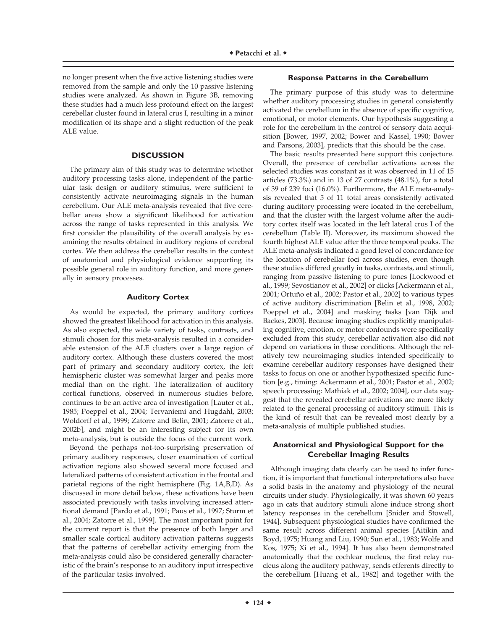no longer present when the five active listening studies were removed from the sample and only the 10 passive listening studies were analyzed. As shown in Figure 3B, removing these studies had a much less profound effect on the largest cerebellar cluster found in lateral crus I, resulting in a minor modification of its shape and a slight reduction of the peak ALE value.

### **DISCUSSION**

The primary aim of this study was to determine whether auditory processing tasks alone, independent of the particular task design or auditory stimulus, were sufficient to consistently activate neuroimaging signals in the human cerebellum. Our ALE meta-analysis revealed that five cerebellar areas show a significant likelihood for activation across the range of tasks represented in this analysis. We first consider the plausibility of the overall analysis by examining the results obtained in auditory regions of cerebral cortex. We then address the cerebellar results in the context of anatomical and physiological evidence supporting its possible general role in auditory function, and more generally in sensory processes.

# **Auditory Cortex**

As would be expected, the primary auditory cortices showed the greatest likelihood for activation in this analysis. As also expected, the wide variety of tasks, contrasts, and stimuli chosen for this meta-analysis resulted in a considerable extension of the ALE clusters over a large region of auditory cortex. Although these clusters covered the most part of primary and secondary auditory cortex, the left hemispheric cluster was somewhat larger and peaks more medial than on the right. The lateralization of auditory cortical functions, observed in numerous studies before, continues to be an active area of investigation [Lauter et al., 1985; Poeppel et al., 2004; Tervaniemi and Hugdahl, 2003; Woldorff et al., 1999; Zatorre and Belin, 2001; Zatorre et al., 2002b], and might be an interesting subject for its own meta-analysis, but is outside the focus of the current work.

Beyond the perhaps not-too-surprising preservation of primary auditory responses, closer examination of cortical activation regions also showed several more focused and lateralized patterns of consistent activation in the frontal and parietal regions of the right hemisphere (Fig. 1A,B,D). As discussed in more detail below, these activations have been associated previously with tasks involving increased attentional demand [Pardo et al., 1991; Paus et al., 1997; Sturm et al., 2004; Zatorre et al., 1999]. The most important point for the current report is that the presence of both larger and smaller scale cortical auditory activation patterns suggests that the patterns of cerebellar activity emerging from the meta-analysis could also be considered generally characteristic of the brain's response to an auditory input irrespective of the particular tasks involved.

### **Response Patterns in the Cerebellum**

The primary purpose of this study was to determine whether auditory processing studies in general consistently activated the cerebellum in the absence of specific cognitive, emotional, or motor elements. Our hypothesis suggesting a role for the cerebellum in the control of sensory data acquisition [Bower, 1997, 2002; Bower and Kassel, 1990; Bower and Parsons, 2003], predicts that this should be the case.

The basic results presented here support this conjecture. Overall, the presence of cerebellar activations across the selected studies was constant as it was observed in 11 of 15 articles (73.3%) and in 13 of 27 contrasts (48.1%), for a total of 39 of 239 foci (16.0%). Furthermore, the ALE meta-analysis revealed that 5 of 11 total areas consistently activated during auditory processing were located in the cerebellum, and that the cluster with the largest volume after the auditory cortex itself was located in the left lateral crus I of the cerebellum (Table II). Moreover, its maximum showed the fourth highest ALE value after the three temporal peaks. The ALE meta-analysis indicated a good level of concordance for the location of cerebellar foci across studies, even though these studies differed greatly in tasks, contrasts, and stimuli, ranging from passive listening to pure tones [Lockwood et al., 1999; Sevostianov et al., 2002] or clicks [Ackermann et al., 2001; Ortuño et al., 2002; Pastor et al., 2002] to various types of active auditory discrimination [Belin et al., 1998, 2002; Poeppel et al., 2004] and masking tasks [van Dijk and Backes, 2003]. Because imaging studies explicitly manipulating cognitive, emotion, or motor confounds were specifically excluded from this study, cerebellar activation also did not depend on variations in these conditions. Although the relatively few neuroimaging studies intended specifically to examine cerebellar auditory responses have designed their tasks to focus on one or another hypothesized specific function [e.g., timing: Ackermann et al., 2001; Pastor et al., 2002; speech processing: Mathiak et al., 2002; 2004], our data suggest that the revealed cerebellar activations are more likely related to the general processing of auditory stimuli. This is the kind of result that can be revealed most clearly by a meta-analysis of multiple published studies.

# **Anatomical and Physiological Support for the Cerebellar Imaging Results**

Although imaging data clearly can be used to infer function, it is important that functional interpretations also have a solid basis in the anatomy and physiology of the neural circuits under study. Physiologically, it was shown 60 years ago in cats that auditory stimuli alone induce strong short latency responses in the cerebellum [Snider and Stowell, 1944]. Subsequent physiological studies have confirmed the same result across different animal species [Aitikin and Boyd, 1975; Huang and Liu, 1990; Sun et al., 1983; Wolfe and Kos, 1975; Xi et al., 1994]. It has also been demonstrated anatomically that the cochlear nucleus, the first relay nucleus along the auditory pathway, sends efferents directly to the cerebellum [Huang et al., 1982] and together with the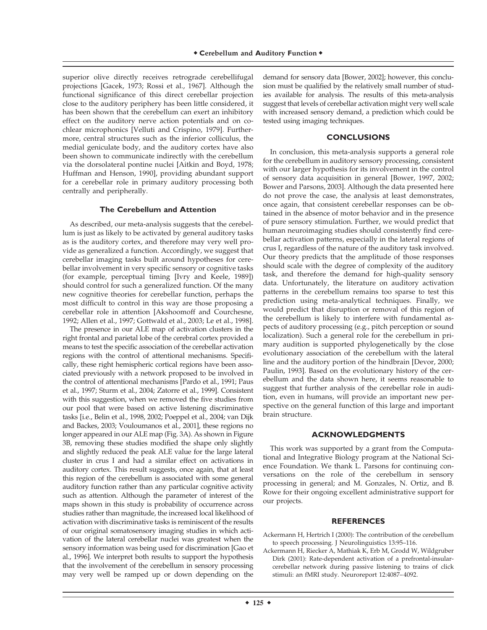superior olive directly receives retrograde cerebellifugal projections [Gacek, 1973; Rossi et al., 1967]. Although the functional significance of this direct cerebellar projection close to the auditory periphery has been little considered, it has been shown that the cerebellum can exert an inhibitory effect on the auditory nerve action potentials and on cochlear microphonics [Velluti and Crispino, 1979]. Furthermore, central structures such as the inferior colliculus, the medial geniculate body, and the auditory cortex have also been shown to communicate indirectly with the cerebellum via the dorsolateral pontine nuclei [Aitkin and Boyd, 1978; Huffman and Henson, 1990], providing abundant support for a cerebellar role in primary auditory processing both centrally and peripherally.

#### **The Cerebellum and Attention**

As described, our meta-analysis suggests that the cerebellum is just as likely to be activated by general auditory tasks as is the auditory cortex, and therefore may very well provide as generalized a function. Accordingly, we suggest that cerebellar imaging tasks built around hypotheses for cerebellar involvement in very specific sensory or cognitive tasks (for example, perceptual timing [Ivry and Keele, 1989]) should control for such a generalized function. Of the many new cognitive theories for cerebellar function, perhaps the most difficult to control in this way are those proposing a cerebellar role in attention [Akshoomoff and Courchesne, 1992; Allen et al., 1997; Gottwald et al., 2003; Le et al., 1998].

The presence in our ALE map of activation clusters in the right frontal and parietal lobe of the cerebral cortex provided a means to test the specific association of the cerebellar activation regions with the control of attentional mechanisms. Specifically, these right hemispheric cortical regions have been associated previously with a network proposed to be involved in the control of attentional mechanisms [Pardo et al., 1991; Paus et al., 1997; Sturm et al., 2004; Zatorre et al., 1999]. Consistent with this suggestion, when we removed the five studies from our pool that were based on active listening discriminative tasks [i.e., Belin et al., 1998, 2002; Poeppel et al., 2004; van Dijk and Backes, 2003; Vouloumanos et al., 2001], these regions no longer appeared in our ALE map (Fig. 3A). As shown in Figure 3B, removing these studies modified the shape only slightly and slightly reduced the peak ALE value for the large lateral cluster in crus I and had a similar effect on activations in auditory cortex. This result suggests, once again, that at least this region of the cerebellum is associated with some general auditory function rather than any particular cognitive activity such as attention. Although the parameter of interest of the maps shown in this study is probability of occurrence across studies rather than magnitude, the increased local likelihood of activation with discriminative tasks is reminiscent of the results of our original somatosensory imaging studies in which activation of the lateral cerebellar nuclei was greatest when the sensory information was being used for discrimination [Gao et al., 1996]. We interpret both results to support the hypothesis that the involvement of the cerebellum in sensory processing may very well be ramped up or down depending on the demand for sensory data [Bower, 2002]; however, this conclusion must be qualified by the relatively small number of studies available for analysis. The results of this meta-analysis suggest that levels of cerebellar activation might very well scale with increased sensory demand, a prediction which could be tested using imaging techniques.

# **CONCLUSIONS**

In conclusion, this meta-analysis supports a general role for the cerebellum in auditory sensory processing, consistent with our larger hypothesis for its involvement in the control of sensory data acquisition in general [Bower, 1997, 2002; Bower and Parsons, 2003]. Although the data presented here do not prove the case, the analysis at least demonstrates, once again, that consistent cerebellar responses can be obtained in the absence of motor behavior and in the presence of pure sensory stimulation. Further, we would predict that human neuroimaging studies should consistently find cerebellar activation patterns, especially in the lateral regions of crus I, regardless of the nature of the auditory task involved. Our theory predicts that the amplitude of those responses should scale with the degree of complexity of the auditory task, and therefore the demand for high-quality sensory data. Unfortunately, the literature on auditory activation patterns in the cerebellum remains too sparse to test this prediction using meta-analytical techniques. Finally, we would predict that disruption or removal of this region of the cerebellum is likely to interfere with fundamental aspects of auditory processing (e.g., pitch perception or sound localization). Such a general role for the cerebellum in primary audition is supported phylogenetically by the close evolutionary association of the cerebellum with the lateral line and the auditory portion of the hindbrain [Devor, 2000; Paulin, 1993]. Based on the evolutionary history of the cerebellum and the data shown here, it seems reasonable to suggest that further analysis of the cerebellar role in audition, even in humans, will provide an important new perspective on the general function of this large and important brain structure.

#### **ACKNOWLEDGMENTS**

This work was supported by a grant from the Computational and Integrative Biology program at the National Science Foundation. We thank L. Parsons for continuing conversations on the role of the cerebellum in sensory processing in general; and M. Gonzales, N. Ortiz, and B. Rowe for their ongoing excellent administrative support for our projects.

#### **REFERENCES**

- Ackermann H, Hertrich I (2000): The contribution of the cerebellum to speech processing. J Neurolinguistics 13:95–116.
- Ackermann H, Riecker A, Mathiak K, Erb M, Grodd W, Wildgruber Dirk (2001): Rate-dependent activation of a prefrontal-insularcerebellar network during passive listening to trains of click stimuli: an fMRI study. Neuroreport 12:4087–4092.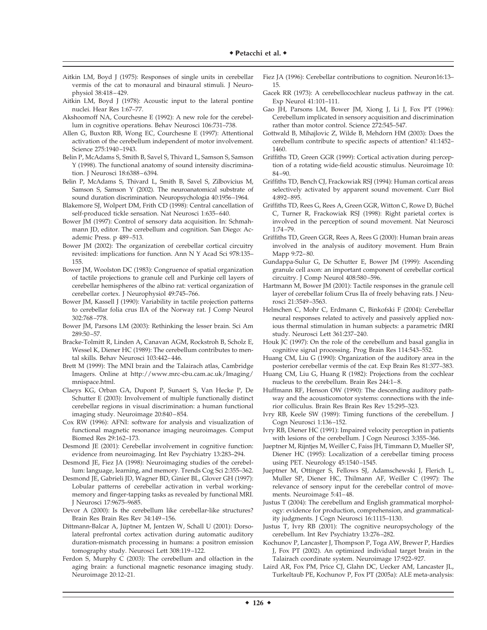- Aitkin LM, Boyd J (1975): Responses of single units in cerebellar vermis of the cat to monaural and binaural stimuli. J Neurophysiol 38:418–429.
- Aitkin LM, Boyd J (1978): Acoustic input to the lateral pontine nuclei. Hear Res 1:67–77.
- Akshoomoff NA, Courchesne E (1992): A new role for the cerebellum in cognitive operations. Behav Neurosci 106:731–738.
- Allen G, Buxton RB, Wong EC, Courchesne E (1997): Attentional activation of the cerebellum independent of motor involvement. Science 275:1940–1943.
- Belin P, McAdams S, Smith B, Savel S, Thivard L, Samson S, Samson Y (1998). The functional anatomy of sound intensity discrimination. J Neurosci 18:6388-6394.
- Belin P, McAdams S, Thivard L, Smith B, Savel S, Zilbovicius M, Samson S, Samson Y (2002). The neuroanatomical substrate of sound duration discrimination. Neuropsychologia 40:1956–1964.
- Blakemore SJ, Wolpert DM, Frith CD (1998): Central cancellation of self-produced tickle sensation. Nat Neurosci 1:635–640.
- Bower JM (1997): Control of sensory data acquisition. In: Schmahmann JD, editor. The cerebellum and cognition. San Diego: Academic Press. p 489–513.
- Bower JM (2002): The organization of cerebellar cortical circuitry revisited: implications for function. Ann N Y Acad Sci 978:135– 155.
- Bower JM, Woolston DC (1983): Congruence of spatial organization of tactile projections to granule cell and Purkinje cell layers of cerebellar hemispheres of the albino rat: vertical organization of cerebellar cortex. J Neurophysiol 49:745–766.
- Bower JM, Kassell J (1990): Variability in tactile projection patterns to cerebellar folia crus IIA of the Norway rat. J Comp Neurol 302:768–778.
- Bower JM, Parsons LM (2003): Rethinking the lesser brain. Sci Am 289:50–57.
- Bracke-Tolmitt R, Linden A, Canavan AGM, Rockstroh B, Scholz E, Wessel K, Diener HC (1989): The cerebellum contributes to mental skills. Behav Neurosci 103:442–446.
- Brett M (1999): The MNI brain and the Talairach atlas, Cambridge Imagers. Online at http://www.mrc-cbu.cam.ac.uk/Imaging/ mnispace.html.
- Claeys KG, Orban GA, Dupont P, Sunaert S, Van Hecke P, De Schutter E (2003): Involvement of multiple functionally distinct cerebellar regions in visual discrimination: a human functional imaging study. Neuroimage 20:840–854.
- Cox RW (1996): AFNI: software for analysis and visualization of functional magnetic resonance imaging neuroimages. Comput Biomed Res 29:162–173.
- Desmond JE (2001): Cerebellar involvement in cognitive function: evidence from neuroimaging. Int Rev Psychiatry 13:283–294.
- Desmond JE, Fiez JA (1998): Neuroimaging studies of the cerebellum: language, learning, and memory. Trends Cog Sci 2:355–362.
- Desmond JE, Gabrieli JD, Wagner BD, Ginier BL, Glover GH (1997): Lobular patterns of cerebellar activation in verbal workingmemory and finger-tapping tasks as revealed by functional MRI. J Neurosci 17:9675–9685.
- Devor A (2000): Is the cerebellum like cerebellar-like structures? Brain Res Brain Res Rev 34:149–156.
- Dittmann-Balcar A, Jüptner M, Jentzen W, Schall U (2001): Dorsolateral prefrontal cortex activation during automatic auditory duration-mismatch processing in humans: a positron emission tomography study. Neurosci Lett 308:119–122.
- Ferdon S, Murphy C (2003): The cerebellum and olfaction in the aging brain: a functional magnetic resonance imaging study. Neuroimage 20:12–21.
- Fiez JA (1996): Cerebellar contributions to cognition. Neuron16:13– 15.
- Gacek RR (1973): A cerebellocochlear nucleus pathway in the cat. Exp Neurol 41:101–111.
- Gao JH, Parsons LM, Bower JM, Xiong J, Li J, Fox PT (1996): Cerebellum implicated in sensory acquisition and discrimination rather than motor control. Science 272:545–547.
- Gottwald B, Mihajlovic Z, Wilde B, Mehdorn HM (2003): Does the cerebellum contribute to specific aspects of attention? 41:1452– 1460.
- Griffiths TD, Green GGR (1999): Cortical activation during perception of a rotating wide-field acoustic stimulus. Neuroimage 10: 84–90.
- Griffiths TD, Bench CJ, Frackowiak RSJ (1994): Human cortical areas selectively activated by apparent sound movement. Curr Biol 4:892–895.
- Griffiths TD, Rees G, Rees A, Green GGR, Witton C, Rowe D, Büchel C, Turner R, Frackowiak RSJ (1998): Right parietal cortex is involved in the perception of sound movement. Nat Neurosci 1:74–79.
- Griffiths TD, Green GGR, Rees A, Rees G (2000): Human brain areas involved in the analysis of auditory movement. Hum Brain Mapp 9:72–80.
- Gundappa-Sulur G, De Schutter E, Bower JM (1999): Ascending granule cell axon: an important component of cerebellar cortical circuitry. J Comp Neurol 408:580–596.
- Hartmann M, Bower JM (2001): Tactile responses in the granule cell layer of cerebellar folium Crus IIa of freely behaving rats. J Neurosci 21:3549–3563.
- Helmchen C, Mohr C, Erdmann C, Binkofski F (2004): Cerebellar neural responses related to actively and passively applied noxious thermal stimulation in human subjects: a parametric fMRI study. Neurosci Lett 361:237–240.
- Houk JC (1997): On the role of the cerebellum and basal ganglia in cognitive signal processing. Prog Brain Res 114:543–552.
- Huang CM, Liu G (1990): Organization of the auditory area in the posterior cerebellar vermis of the cat. Exp Brain Res 81:377–383.
- Huang CM, Liu G, Huang R (1982): Projections from the cochlear nucleus to the cerebellum. Brain Res 244:1–8.
- Huffmann RF, Henson OW (1990): The descending auditory pathway and the acousticomotor systems: connections with the inferior colliculus. Brain Res Brain Res Rev 15:295–323.
- Ivry RB, Keele SW (1989): Timing functions of the cerebellum. J Cogn Neurosci 1:136–152.
- Ivry RB, Diener HC (1991): Impaired velocity perception in patients with lesions of the cerebellum. J Cogn Neurosci 3:355–366.
- Jueptner M, Rijntjes M, Weiller C, Faiss JH, Timmann D, Mueller SP, Diener HC (1995): Localization of a cerebellar timing process using PET. Neurology 45:1540–1545.
- Jueptner M, Ottinger S, Fellows SJ, Adamschewski J, Flerich L, Muller SP, Diener HC, Thilmann AF, Weiller C (1997): The relevance of sensory input for the cerebellar control of movements. Neuroimage 5:41–48.
- Justus T (2004): The cerebellum and English grammatical morphology: evidence for production, comprehension, and grammaticality judgments. J Cogn Neurosci 16:1115–1130.
- Justus T, Ivry RB (2001): The cognitive neuropsychology of the cerebellum. Int Rev Psychiatry 13:276–282.
- Kochunov P, Lancaster J, Thompson P, Toga AW, Brewer P, Hardies J, Fox PT (2002). An optimized individual target brain in the Talairach coordinate system. Neuroimage 17:922–927.
- Laird AR, Fox PM, Price CJ, Glahn DC, Uecker AM, Lancaster JL, Turkeltaub PE, Kochunov P, Fox PT (2005a): ALE meta-analysis: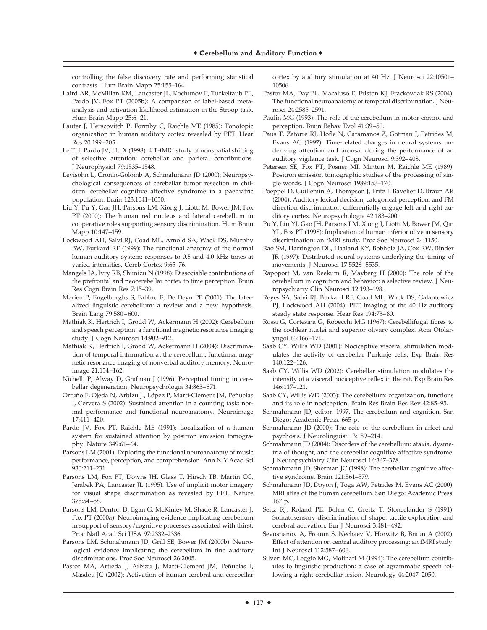controlling the false discovery rate and performing statistical contrasts. Hum Brain Mapp 25:155–164.

- Laird AR, McMillan KM, Lancaster JL, Kochunov P, Turkeltaub PE, Pardo JV, Fox PT (2005b): A comparison of label-based metaanalysis and activation likelihood estimation in the Stroop task. Hum Brain Mapp 25:6–21.
- Lauter J, Herscovitch P, Formby C, Raichle ME (1985): Tonotopic organization in human auditory cortex revealed by PET. Hear Res 20:199–205.
- Le TH, Pardo JV, Hu X (1998): 4 T-fMRI study of nonspatial shifting of selective attention: cerebellar and parietal contributions. J Neurophysiol 79:1535–1548.
- Levisohn L, Cronin-Golomb A, Schmahmann JD (2000): Neuropsychological consequences of cerebellar tumor resection in children: cerebellar cognitive affective syndrome in a paediatric population. Brain 123:1041–1050.
- Liu Y, Pu Y, Gao JH, Parsons LM, Xiong J, Liotti M, Bower JM, Fox PT (2000): The human red nucleus and lateral cerebellum in cooperative roles supporting sensory discrimination. Hum Brain Mapp 10:147–159.
- Lockwood AH, Salvi RJ, Coad ML, Arnold SA, Wack DS, Murphy BW, Burkard RF (1999): The functional anatomy of the normal human auditory system: responses to 0.5 and 4.0 kHz tones at varied intensities. Cereb Cortex 9:65–76.
- Mangels JA, Ivry RB, Shimizu N (1998): Dissociable contributions of the prefrontal and neocerebellar cortex to time perception. Brain Res Cogn Brain Res 7:15–39.
- Marien P, Engelborghs S, Fabbro F, De Deyn PP (2001): The lateralized linguistic cerebellum: a review and a new hypothesis. Brain Lang 79:580–600.
- Mathiak K, Hertrich I, Grodd W, Ackermann H (2002): Cerebellum and speech perception: a functional magnetic resonance imaging study. J Cogn Neurosci 14:902–912.
- Mathiak K, Hertrich I, Grodd W, Ackermann H (2004): Discrimination of temporal information at the cerebellum: functional magnetic resonance imaging of nonverbal auditory memory. Neuroimage 21:154–162.
- Nichelli P, Alway D, Grafman J (1996): Perceptual timing in cerebellar degeneration. Neuropsychologia 34:863–871.
- Ortuño F, Ojeda N, Arbizu J., López P, Martí-Clement JM, Peñuelas I, Cervera S (2002): Sustained attention in a counting task: normal performance and functional neuroanatomy. Neuroimage 17:411–420.
- Pardo JV, Fox PT, Raichle ME (1991): Localization of a human system for sustained attention by positron emission tomography. Nature 349:61–64.
- Parsons LM (2001): Exploring the functional neuroanatomy of music performance, perception, and comprehension. Ann N Y Acad Sci 930:211–231.
- Parsons LM, Fox PT, Downs JH, Glass T, Hirsch TB, Martin CC, Jerabek PA, Lancaster JL (1995). Use of implicit motor imagery for visual shape discrimination as revealed by PET. Nature 375:54–58.
- Parsons LM, Denton D, Egan G, McKinley M, Shade R, Lancaster J, Fox PT (2000a): Neuroimaging evidence implicating cerebellum in support of sensory/cognitive processes associated with thirst. Proc Natl Acad Sci USA 97:2332–2336.
- Parsons LM, Schmahmann JD, Grill SE, Bower JM (2000b): Neurological evidence implicating the cerebellum in fine auditory discriminations. Proc Soc Neurosci 26:2005.
- Pastor MA, Artieda J, Arbizu J, Marti-Clement JM, Peñuelas I, Masdeu JC (2002): Activation of human cerebral and cerebellar

cortex by auditory stimulation at 40 Hz. J Neurosci 22:10501– 10506.

- Pastor MA, Day BL, Macaluso E, Friston KJ, Frackowiak RS (2004): The functional neuroanatomy of temporal discrimination. J Neurosci 24:2585–2591.
- Paulin MG (1993): The role of the cerebellum in motor control and perception. Brain Behav Evol 41:39–50.
- Paus T, Zatorre RJ, Hofle N, Caramanos Z, Gotman J, Petrides M, Evans AC (1997): Time-related changes in neural systems underlying attention and arousal during the performance of an auditory vigilance task. J Cogn Neurosci 9:392–408.
- Petersen SE, Fox PT, Posner MI, Mintun M, Raichle ME (1989): Positron emission tomographic studies of the processing of single words. J Cogn Neurosci 1989:153–170.
- Poeppel D, Guillemin A, Thompson J, Fritz J, Bavelier D, Braun AR (2004): Auditory lexical decision, categorical perception, and FM direction discrimination differentially engage left and right auditory cortex. Neuropsychologia 42:183–200.
- Pu Y, Liu YJ, Gao JH, Parsons LM, Xiong J, Liotti M, Bower JM, Qin YL, Fox PT (1998): Implication of human inferior olive in sensory discrimination: an fMRI study. Proc Soc Neurosci 24:1150.
- Rao SM, Harrington DL, Haaland KY, Bobholz JA, Cox RW, Binder JR (1997): Distributed neural systems underlying the timing of movements. J Neurosci 17:5528–5535.
- Rapoport M, van Reekum R, Mayberg H (2000): The role of the cerebellum in cognition and behavior: a selective review. J Neuropsychiatry Clin Neurosci 12:193–198.
- Reyes SA, Salvi RJ, Burkard RF, Coad ML, Wack DS, Galantowicz PJ, Lockwood AH (2004): PET imaging of the 40 Hz auditory steady state response. Hear Res 194:73–80.
- Rossi G, Cortesina G, Robecchi MG (1967): Cerebellifugal fibres to the cochlear nuclei and superior olivary complex. Acta Otolaryngol 63:166–171.
- Saab CY, Willis WD (2001): Nociceptive visceral stimulation modulates the activity of cerebellar Purkinje cells. Exp Brain Res 140:122–126.
- Saab CY, Willis WD (2002): Cerebellar stimulation modulates the intensity of a visceral nociceptive reflex in the rat. Exp Brain Res 146:117–121.
- Saab CY, Willis WD (2003): The cerebellum: organization, functions and its role in nociception. Brain Res Brain Res Rev 42:85–95.
- Schmahmann JD, editor. 1997. The cerebellum and cognition. San Diego: Academic Press. 665 p.
- Schmahmann JD (2000): The role of the cerebellum in affect and psychosis. J Neurolinguist 13:189–214.
- Schmahmann JD (2004): Disorders of the cerebellum: ataxia, dysmetria of thought, and the cerebellar cognitive affective syndrome. J Neuropsychiatry Clin Neurosci 16:367–378.
- Schmahmann JD, Sherman JC (1998): The cerebellar cognitive affective syndrome. Brain 121:561–579.
- Schmahmann JD, Doyon J, Toga AW, Petrides M, Evans AC (2000): MRI atlas of the human cerebellum. San Diego: Academic Press. 167 p.
- Seitz RJ, Roland PE, Bohm C, Greitz T, Stoneelander S (1991): Somatosensory discrimination of shape: tactile exploration and cerebral activation. Eur J Neurosci 3:481–492.
- Sevostianov A, Fromm S, Nechaev V, Horwitz B, Braun A (2002): Effect of attention on central auditory processing: an fMRI study. Int J Neurosci 112:587–606.
- Silveri MC, Leggio MG, Molinari M (1994): The cerebellum contributes to linguistic production: a case of agrammatic speech following a right cerebellar lesion. Neurology 44:2047–2050.